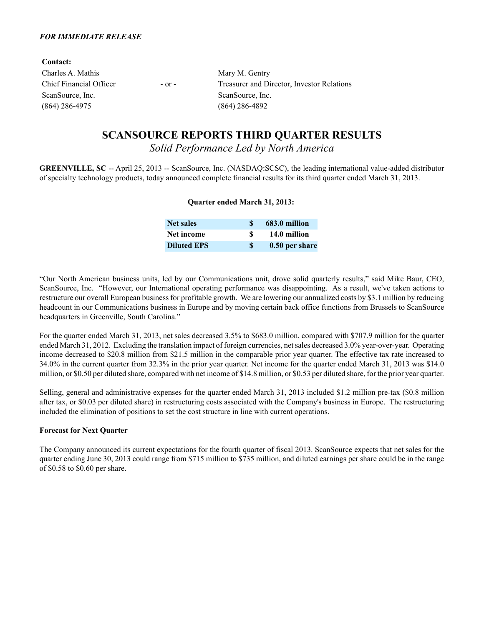| <b>Contact:</b>         |            |                                            |
|-------------------------|------------|--------------------------------------------|
| Charles A. Mathis       |            | Mary M. Gentry                             |
| Chief Financial Officer | $-$ or $-$ | Treasurer and Director, Investor Relations |
| ScanSource, Inc.        |            | ScanSource, Inc.                           |
| (864) 286-4975          |            | $(864)$ 286-4892                           |
|                         |            |                                            |

# **SCANSOURCE REPORTS THIRD QUARTER RESULTS**

*Solid Performance Led by North America*

**GREENVILLE, SC** -- April 25, 2013 -- ScanSource, Inc. (NASDAQ:SCSC), the leading international value-added distributor of specialty technology products, today announced complete financial results for its third quarter ended March 31, 2013.

### **Quarter ended March 31, 2013:**

| <b>Net sales</b>   | 683.0 million  |
|--------------------|----------------|
| Net income         | 14.0 million   |
| <b>Diluted EPS</b> | 0.50 per share |

"Our North American business units, led by our Communications unit, drove solid quarterly results," said Mike Baur, CEO, ScanSource, Inc. "However, our International operating performance was disappointing. As a result, we've taken actions to restructure our overall European business for profitable growth. We are lowering our annualized costs by \$3.1 million by reducing headcount in our Communications business in Europe and by moving certain back office functions from Brussels to ScanSource headquarters in Greenville, South Carolina."

For the quarter ended March 31, 2013, net sales decreased 3.5% to \$683.0 million, compared with \$707.9 million for the quarter ended March 31, 2012. Excluding the translation impact of foreign currencies, net sales decreased 3.0% year-over-year. Operating income decreased to \$20.8 million from \$21.5 million in the comparable prior year quarter. The effective tax rate increased to 34.0% in the current quarter from 32.3% in the prior year quarter. Net income for the quarter ended March 31, 2013 was \$14.0 million, or \$0.50 per diluted share, compared with net income of \$14.8 million, or \$0.53 per diluted share, for the prior year quarter.

Selling, general and administrative expenses for the quarter ended March 31, 2013 included \$1.2 million pre-tax (\$0.8 million after tax, or \$0.03 per diluted share) in restructuring costs associated with the Company's business in Europe. The restructuring included the elimination of positions to set the cost structure in line with current operations.

### **Forecast for Next Quarter**

The Company announced its current expectations for the fourth quarter of fiscal 2013. ScanSource expects that net sales for the quarter ending June 30, 2013 could range from \$715 million to \$735 million, and diluted earnings per share could be in the range of \$0.58 to \$0.60 per share.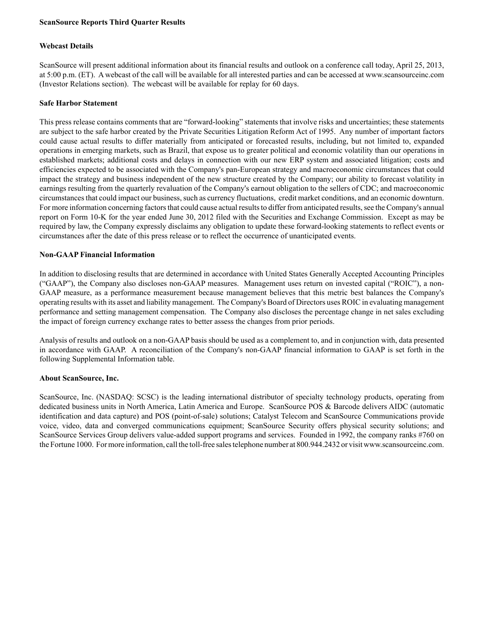### **ScanSource Reports Third Quarter Results**

### **Webcast Details**

ScanSource will present additional information about its financial results and outlook on a conference call today, April 25, 2013, at 5:00 p.m. (ET). A webcast of the call will be available for all interested parties and can be accessed at www.scansourceinc.com (Investor Relations section). The webcast will be available for replay for 60 days.

### **Safe Harbor Statement**

This press release contains comments that are "forward-looking" statements that involve risks and uncertainties; these statements are subject to the safe harbor created by the Private Securities Litigation Reform Act of 1995. Any number of important factors could cause actual results to differ materially from anticipated or forecasted results, including, but not limited to, expanded operations in emerging markets, such as Brazil, that expose us to greater political and economic volatility than our operations in established markets; additional costs and delays in connection with our new ERP system and associated litigation; costs and efficiencies expected to be associated with the Company's pan-European strategy and macroeconomic circumstances that could impact the strategy and business independent of the new structure created by the Company; our ability to forecast volatility in earnings resulting from the quarterly revaluation of the Company's earnout obligation to the sellers of CDC; and macroeconomic circumstances that could impact our business, such as currency fluctuations, credit market conditions, and an economic downturn. For more information concerning factors that could cause actual results to differ from anticipated results, see the Company's annual report on Form 10-K for the year ended June 30, 2012 filed with the Securities and Exchange Commission. Except as may be required by law, the Company expressly disclaims any obligation to update these forward-looking statements to reflect events or circumstances after the date of this press release or to reflect the occurrence of unanticipated events.

### **Non-GAAP Financial Information**

In addition to disclosing results that are determined in accordance with United States Generally Accepted Accounting Principles ("GAAP"), the Company also discloses non-GAAP measures. Management uses return on invested capital ("ROIC"), a non-GAAP measure, as a performance measurement because management believes that this metric best balances the Company's operating results with its asset and liability management. The Company's Board of Directors uses ROIC in evaluating management performance and setting management compensation. The Company also discloses the percentage change in net sales excluding the impact of foreign currency exchange rates to better assess the changes from prior periods.

Analysis of results and outlook on a non-GAAPbasis should be used as a complement to, and in conjunction with, data presented in accordance with GAAP. A reconciliation of the Company's non-GAAP financial information to GAAP is set forth in the following Supplemental Information table.

### **About ScanSource, Inc.**

ScanSource, Inc. (NASDAQ: SCSC) is the leading international distributor of specialty technology products, operating from dedicated business units in North America, Latin America and Europe. ScanSource POS & Barcode delivers AIDC (automatic identification and data capture) and POS (point-of-sale) solutions; Catalyst Telecom and ScanSource Communications provide voice, video, data and converged communications equipment; ScanSource Security offers physical security solutions; and ScanSource Services Group delivers value-added support programs and services. Founded in 1992, the company ranks #760 on the Fortune 1000. For more information, call the toll-free sales telephone number at 800.944.2432 or visit www.scansourceinc.com.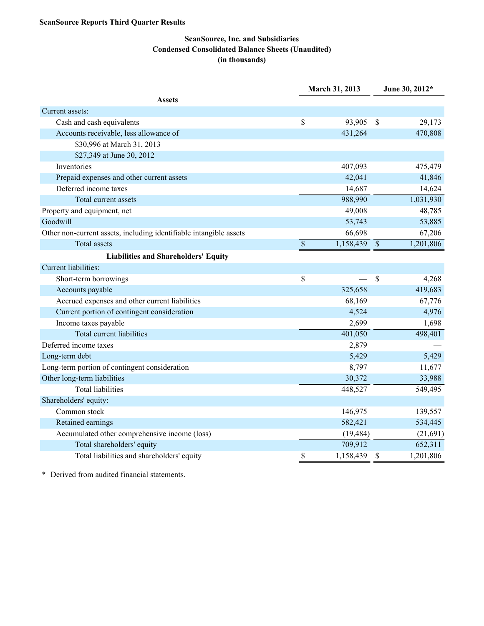## **ScanSource Reports Third Quarter Results**

# **ScanSource, Inc. and Subsidiaries Condensed Consolidated Balance Sheets (Unaudited) (in thousands)**

|                                                                    |                          | March 31, 2013 |                          | June 30, 2012* |  |  |
|--------------------------------------------------------------------|--------------------------|----------------|--------------------------|----------------|--|--|
| <b>Assets</b>                                                      |                          |                |                          |                |  |  |
| Current assets:                                                    |                          |                |                          |                |  |  |
| Cash and cash equivalents                                          | \$                       | 93,905         | \$                       | 29,173         |  |  |
| Accounts receivable, less allowance of                             |                          | 431,264        |                          | 470,808        |  |  |
| \$30,996 at March 31, 2013                                         |                          |                |                          |                |  |  |
| \$27,349 at June 30, 2012                                          |                          |                |                          |                |  |  |
| Inventories                                                        |                          | 407,093        |                          | 475,479        |  |  |
| Prepaid expenses and other current assets                          |                          | 42,041         |                          | 41,846         |  |  |
| Deferred income taxes                                              |                          | 14,687         |                          | 14,624         |  |  |
| Total current assets                                               |                          | 988,990        |                          | 1,031,930      |  |  |
| Property and equipment, net                                        |                          | 49,008         |                          | 48,785         |  |  |
| Goodwill                                                           |                          | 53,743         |                          | 53,885         |  |  |
| Other non-current assets, including identifiable intangible assets |                          | 66,698         |                          | 67,206         |  |  |
| <b>Total assets</b>                                                | $\overline{\mathcal{S}}$ | 1,158,439      | $\overline{\mathcal{S}}$ | 1,201,806      |  |  |
| <b>Liabilities and Shareholders' Equity</b>                        |                          |                |                          |                |  |  |
| <b>Current liabilities:</b>                                        |                          |                |                          |                |  |  |
| Short-term borrowings                                              | \$                       |                | \$                       | 4,268          |  |  |
| Accounts payable                                                   |                          | 325,658        |                          | 419,683        |  |  |
| Accrued expenses and other current liabilities                     |                          | 68,169         |                          | 67,776         |  |  |
| Current portion of contingent consideration                        |                          | 4,524          |                          | 4,976          |  |  |
| Income taxes payable                                               |                          | 2,699          |                          | 1,698          |  |  |
| <b>Total current liabilities</b>                                   |                          | 401,050        |                          | 498,401        |  |  |
| Deferred income taxes                                              |                          | 2,879          |                          |                |  |  |
| Long-term debt                                                     |                          | 5,429          |                          | 5,429          |  |  |
| Long-term portion of contingent consideration                      |                          | 8,797          |                          | 11,677         |  |  |
| Other long-term liabilities                                        |                          | 30,372         |                          | 33,988         |  |  |
| <b>Total liabilities</b>                                           |                          | 448,527        |                          | 549,495        |  |  |
| Shareholders' equity:                                              |                          |                |                          |                |  |  |
| Common stock                                                       |                          | 146,975        |                          | 139,557        |  |  |
| Retained earnings                                                  |                          | 582,421        |                          | 534,445        |  |  |
| Accumulated other comprehensive income (loss)                      |                          | (19, 484)      |                          | (21,691)       |  |  |
| Total shareholders' equity                                         |                          | 709,912        |                          | 652,311        |  |  |
| Total liabilities and shareholders' equity                         | $\overline{\mathcal{S}}$ | 1,158,439      | $\overline{\$}$          | 1,201,806      |  |  |

\* Derived from audited financial statements.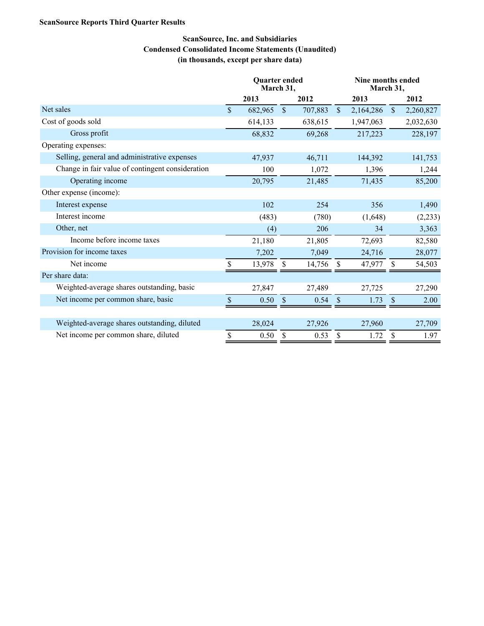## **ScanSource Reports Third Quarter Results**

# **ScanSource, Inc. and Subsidiaries Condensed Consolidated Income Statements (Unaudited) (in thousands, except per share data)**

|                                                  | <b>Quarter ended</b><br>March 31, |         |               |         |               | Nine months ended<br>March 31, |                    |           |  |
|--------------------------------------------------|-----------------------------------|---------|---------------|---------|---------------|--------------------------------|--------------------|-----------|--|
|                                                  |                                   | 2013    |               | 2012    |               | 2013                           |                    | 2012      |  |
| Net sales                                        | $\mathcal{S}$                     | 682,965 | $\mathsf{\$}$ | 707,883 | $\sqrt{\ }$   | 2,164,286                      | $\mathcal{S}$      | 2,260,827 |  |
| Cost of goods sold                               |                                   | 614,133 |               | 638,615 |               | 1,947,063                      |                    | 2,032,630 |  |
| Gross profit                                     |                                   | 68,832  |               | 69,268  |               | 217,223                        |                    | 228,197   |  |
| Operating expenses:                              |                                   |         |               |         |               |                                |                    |           |  |
| Selling, general and administrative expenses     |                                   | 47,937  |               | 46,711  |               | 144,392                        |                    | 141,753   |  |
| Change in fair value of contingent consideration |                                   | 100     |               | 1,072   |               | 1,396                          |                    | 1,244     |  |
| Operating income                                 |                                   | 20,795  |               | 21,485  |               | 71,435                         |                    | 85,200    |  |
| Other expense (income):                          |                                   |         |               |         |               |                                |                    |           |  |
| Interest expense                                 |                                   | 102     |               | 254     |               | 356                            |                    | 1,490     |  |
| Interest income                                  |                                   | (483)   |               | (780)   |               | (1,648)                        |                    | (2, 233)  |  |
| Other, net                                       |                                   | (4)     |               | 206     |               | 34                             |                    | 3,363     |  |
| Income before income taxes                       |                                   | 21,180  |               | 21,805  |               | 72,693                         |                    | 82,580    |  |
| Provision for income taxes                       |                                   | 7,202   |               | 7,049   |               | 24,716                         |                    | 28,077    |  |
| Net income                                       |                                   | 13,978  | \$            | 14,756  | \$            | 47,977                         | $\mathbf{\$}$      | 54,503    |  |
| Per share data:                                  |                                   |         |               |         |               |                                |                    |           |  |
| Weighted-average shares outstanding, basic       |                                   | 27,847  |               | 27,489  |               | 27,725                         |                    | 27,290    |  |
| Net income per common share, basic               | \$                                | 0.50    | \$            | 0.54    | $\mathcal{S}$ | 1.73                           | $\mathbf{\hat{S}}$ | 2.00      |  |
|                                                  |                                   |         |               |         |               |                                |                    |           |  |
| Weighted-average shares outstanding, diluted     |                                   | 28,024  |               | 27,926  |               | 27,960                         |                    | 27,709    |  |
| Net income per common share, diluted             | \$                                | 0.50    | \$            | 0.53    | \$            | 1.72                           | \$                 | 1.97      |  |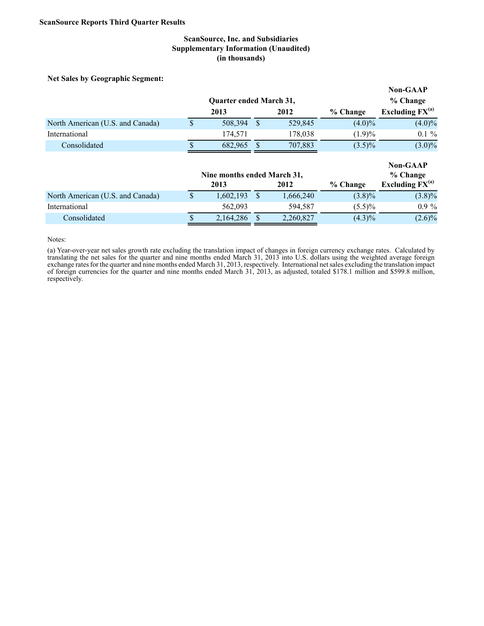### **ScanSource, Inc. and Subsidiaries Supplementary Information (Unaudited) (in thousands)**

**Net Sales by Geographic Segment:**

|                                  |      |                                     |  |         |           | <b>Non-GAAP</b>                                     |  |
|----------------------------------|------|-------------------------------------|--|---------|-----------|-----------------------------------------------------|--|
|                                  |      | <b>Quarter ended March 31,</b>      |  |         |           | % Change                                            |  |
|                                  | 2013 |                                     |  | 2012    | % Change  | Excluding $FX^{(a)}$                                |  |
| North American (U.S. and Canada) |      | 508,394                             |  | 529,845 | $(4.0)\%$ | $(4.0)\%$                                           |  |
| International                    |      | 174,571                             |  | 178,038 | (1.9)%    | $0.1 \%$                                            |  |
| Consolidated                     |      | 682,965                             |  | 707,883 | $(3.5)\%$ | $(3.0)\%$                                           |  |
|                                  |      | Nine months ended March 31,<br>2013 |  | 2012    | % Change  | <b>Non-GAAP</b><br>% Change<br>Excluding $FX^{(a)}$ |  |

# North American (U.S. and Canada)  $\qquad$  \$ 1,602,193 \$ 1,666,240 (3.8)% (3.8)% International 562,093 594,587 (5.5)% 0.9 % Consolidated  $\overline{\text{S}}$  2,164,286  $\overline{\text{S}}$  2,260,827 (4.3)% (2.6)%

Notes:

(a) Year-over-year net sales growth rate excluding the translation impact of changes in foreign currency exchange rates. Calculated by translating the net sales for the quarter and nine months ended March 31, 2013 into U.S. dollars using the weighted average foreign exchange rates for the quarter and nine months ended March 31, 2013, respectively. International net sales excluding the translation impact of foreign currencies for the quarter and nine months ended March 31, 2013, as adjusted, totaled \$178.1 million and \$599.8 million, respectively.